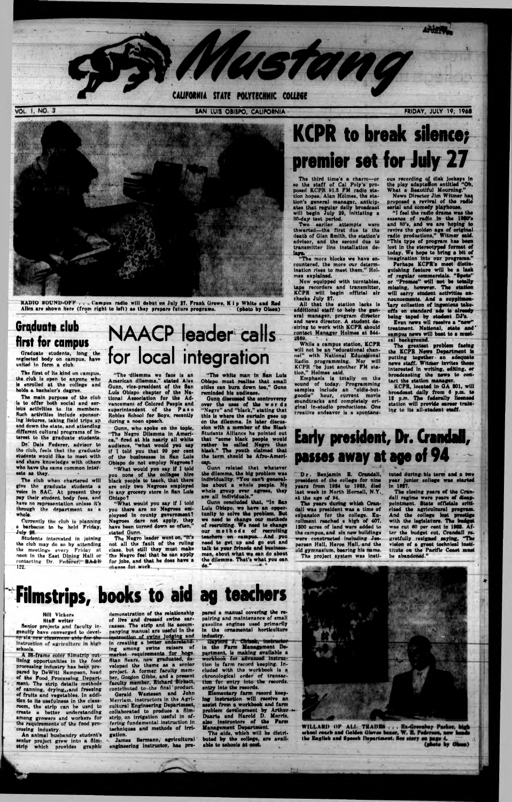VOL. 1, NO. 3

The firat of Ita kind on campua, tha club la open to anyone who la enrolled at the college and holds a bachelor's degree.

### Graduate club first for campus

Graduate atudenta, long the neglected body on campua, have united to form a club.

The main purpose of the club la to offer both aocial and serious actlvitiea to Ita membera. Such activities include sponsoring lectures, taking field tripe up and down the atate, and attending different cultural programs of intereat to the graduate atudenta.

Dr." Dale Federer, adviaor to the club, feels that the graduate atudenta would like to meet with and share knowledge with others who have the same common intercats as they.

Gunn, vice-president of the San Lula Oblapo chapter *of* the National Association for the Advancement of Colored People and auperintendent of the Paso Robles School for Boys, recently during a noon epooch.

Gunn, who spoke on the topic, "The Negro Dilemma In Ameriea," Arad at hla nearly all white audience, "what would you aay if I told you that 99 per cent of the buainaasea in San Lula Obispo do not employ Negroes?

The club when chartered will give the graduate atudenta a voice In SAC. At preaent they pay their atudent body feea, and have no representation unless it's through the department as a whole.

"What would you say if I told you none of the coll**eges** hire black people to teach, that there are only two Negroes employed in any grocery store in San Luis Obispo T

Currently the club la planning a barbecue to he held Friday, July 24.

Students Internated in Joining the club may do an by attending the meotinga every Friday at noon in the East Dining Hall or contacting Dr. Federer; **BALH** 

**NAACP leader calls for local integration** "The 'dilemma we face la an Amarican dllamma," atated Alex

#### **Hill Vicker\*** Staff writer

Senior projects and faculty ingenuity have converged to develnp sla new chaarmoon a Instruction of agriculture In high schools.

A 38-frame color filmatrip outlining opportunities in the food proceaaing Industry haa beep prepared by DeWItt Sampson, head of the Food, Processing Department. The atrip details methods of canning, drying, and freesing of fruits and vegetables. In addition to Ita uaefulneas In the classroom, the atrip can be uaed to create a better understandlhg among growers and workers for the requirements of the food processing Induatry.

An animal husbandry student's senior project grew into a film-<br>strin which provides graphic which provides graphic

" What would you aay If I told you there are no Negroes employaad in county government? Negroes dare not apply, they have been turned down so often, atatod Ounn.

The Negro leader went on, "It's not all the fault of the ruling class, but still they must make the Negro feel that ha can apply for jobe, and that he does nave a<br>chance for work.

Jamaa Barmann, agricultural engineering instructor, has pre-

"Tha white man In San Lula Oblapo must realts\* that small cities can burn down too," Gunn reminded his audience,

The third time's a charm—or so tha staff of Cal Poly's proposed KCPR 91.3 FM radio station hopes. Alan Holmes, the station'\* general manager, anticipates that regular daily broadcast will begin July 29, Initiating a 30-day teat period.

Gunn diacuaeed the controversy over the uses of the words " N#gro" and " black," stating that this is where the curtain goes up on the dilemma. In later discussion with a member of the Black Students Alliance he pointed out that "some black people would rathor bo called Negro than black." The youth claimed that the term should be Afro-Amerl-**N |k**

Now equipped with turntables, tape recorders and transmitter, KCPR will begin official air checks July 27.

All that the atetlon lacks la additional staff to hoip the general manager, program director and news director. A student daairing to work with KCPR should contact Manager Holmes at 844- 2569.

While a campua station, KCPR will not be an "educational channel" with National Educational itadio programming. Nor will KCPR "be just another FM station," Holmes said.

Emphasis is totally on the sound of today. Programming samples Include an "oldls-butgoodle" hour, current movie soundtracks and completely original in-atudlo productions. One creative endeavor is a spontane-

Gunn related that whatever the dilemma, the big problem was Individuality. " You cant generalise about a whole people. No whole group over agrees, they are all Individuals."

Gunn concluded that, " In San Lula Oblapo, wo have an opportunity to solve tho problem. But we need to change our methods of recruiting. We need to change our methods of recruiting teachers on campus. And you need to get up and go out and talk to your frincds and businessman, about what ws can do about tha dllamma. That's what you can

"I feel the radio drama was the essence of radio in the 1980's and 30's, and we are hoping to revlvo tha golden age of original radio productions," Wltmar said. "This type of program has been lost in the stereotyped format of today. We hope to bring a bit of imagination Into our programs."

do."

# **Filmstrips, books to aid ag teachers**

Even news wil receive a "new" treatment. National, state and  $^{\circ}$ campus news will beat to a musical background.

The greatest problem facing tha KCPR News Department is putting together- an adequate news staff. WHmer invitee those Interested In writing, editing, or broadcasting the news to contact tho station manager.

The closing years of the Crandall regime were years of disappointment. State officials criticised the agricultural program. And the coll**ege lost prestige** with the legislature. The budget was cut AO per rent in IMS. A fter the budget cut, Crandall regretfully resigned saying, "The vision of a great technical Inatititute on the Parific Coast must be abandoned."

demonstration of ths relationship of live and dresaed swine carcasses. The strip and its accompanying manual are useful in the truction of awine judging and in creating a better underatanaing among swine raisers of market requirements for hogs. Stan Sears, now graduated, developed the theme as a senior project. A former faculty member, Gordon Gibbs, and a present faculty member, Richard Blrkatt, contributed to~the final product. Gerald Wasteaen and John Merriam, instructors in the Agricultural Engineering Department, collaborated to produce a filmstrip on Irrigation uaaful In offering fundamental instruction in techniquee and methods of Irrigation.

WILLARD OF ALL TRADES school coach and Goldon Gloves be the Ragllsb aad Hpeeck Departamat. 4

FRIDAY, JULY 19, 1968



RADIO SOUND-OFF . . . Campus radio will debut on July 27. Frank Growe, K i p White and Red<br>Allen are shown here (from right to left) as they prepare future programs. (photo by Olsen) Allen are shown here (from right to left) as they prepare future programs.

# **KCPR to break silence; premier set for July 27**

Two earlier attempts were thwarted— ths firat due to the death of Gian Smith, the station's adviaor, and tha second dua to transmitter line Installation delays,

" The more blocks we have encountered, the more our determination rises to meet them," Holmes explained.

ous recording of disk Jockey\* In the play adaptation entitled " Oh, What a Beautiful Mourning." Nows Director Jim Witmor ha^

proposed e revival of tha radio serial and comedy playhouse.

Perhaps KCPR'e meet distiaguiahing feature will be a lack of .regular commercials. "Spots'' or " Promos" will not be totally missing, however. The station will carry student activities announcements. And a suppllmea-1sry collection of Ingenious takeoffs an standard ads Is already being taped by student DJ'e.

KCPR, located In OA SOI, will broadcast daily from 4 p.m. to 12 p.m. The federally licensed station will pro**vide eareer** tr**ain**ing to its all-stadent staff.

### Early president, Dr. Crandall, passes away at ape of 94 ^

Dr. Benjamin R. Crandall, president of tho college for nine years from 1924 to 1988, died last week in North Hornell, N.Y. at the age of 94.

The years during whleh Crandall was president was a time of expansion for the college. En- $\,$ rollment reached a high of 407, 1200 acres of land were added to the campus, and six new buildings were constructed including Jeaperson Hall, Heron Hall, and the old gymnaalum, bearing hie name. The project system was instituted during his term and a two year Junior college was started in 19S7.

pared a manual covering the repairing and maintenance of small gasoline engines used primarily in tha ornamental horticulture Industry.

Gaylord J. Chinek, instructor<br>in the Farm Management Depsrtment, la making available a workbook for advanced Instruction In farm record kaaplng. Included with the workbook is a chronological order of transaction for entry into the records, entry into the records.

Elementary farm record hooping instruction will receive an assist from a workbook and farm problem development by Arthur  $\sim$ Duarte and Harold D. Morris, also instructors of the Farm Management Department.

The aids, which will be distributed by the college, are available to schools at **i** 

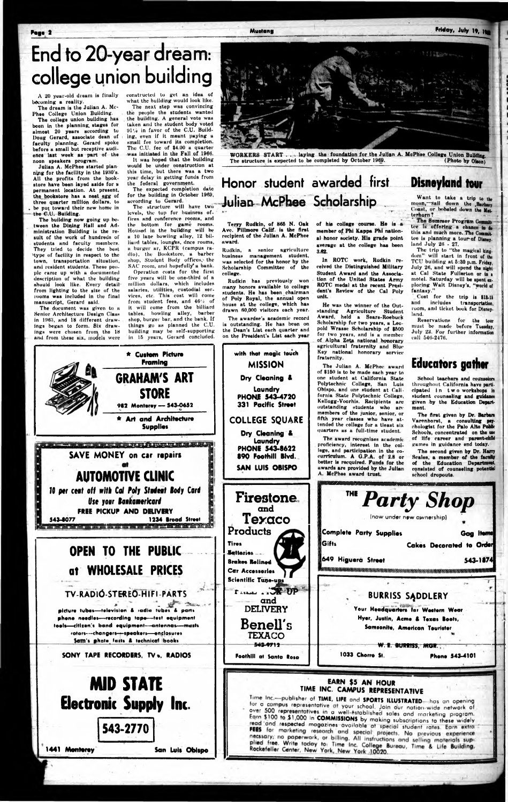**Page** 2 **Mustang Friday, July ly,** *^*

# **End to 20-year dream: college union building**

A 20 year-old dream is finally becoming a reality.

noon speakers program. Julian A. McPhee started planning for the facility in the 1930's. All the profits from the bookstore have been layed aside for a permanent location. At present, the bookstore has a nest egg of three quarter million dollars, to be put toward their new home in the C.U. Building.

The dream is the Julian A. Mc-Phee College Union Building. The college union building has been in the planning, stages for almost 20 years according to Doug Gerard, associate dean of i faculty planning. Gerard spoke before a small but receptive audience last week as part of the

The building now going up between the Dining Hall and Administration Building is the result of the work of hundreds of students and faculty members. They tried to decide the best Hype of facility in respect to the town, transportation situation, and resident students. These people came up with a documented description of what the building should look like. Every detailfrom lighting to the size of the looms was included in the final manuscript, Gerard said.

The document was given to a Senior Architecture Design Class in 1963, and 18 different drawings began to form. Six drawings were chosen from the 18 and from these six, models were

The expected completion date for the building in October 1960, according to Gerard.

The structure will have two levels, the top for business of- ' fices and conference rooms, and the bottom for game rooms. Housed in the building will be u 10 lane bowling alley, 12 billiard tables, lounges, dnce rooms, a burger ar, KCPR (campus radio), the Bookstore, a barber shop, Student Body offices, the SAC room, and hopefully' a bank.

constructed to get an idea of what the building would look like.

### **Honor student awarded first** Disneyland tour **Julian McPhee Scholarship**

The next step was convincing the people the students wanted the building. A general vote was taken and the student body voted  $91\%$  in favor of the C.U. Building, even if it meant paying a small fee toward its completion. The C.U. fee of \$4.00 a quarter was initiated in the Fall of 1960.

It was hoped that the building would be under construction at this time, but there was a two year delay in getting funds from the federal government.

Operation costs for the first five years will be one-third of n million dollars, which includes salaries, utilities, custodial ser. vices, etc. This cost will come from student fees, and 46% of it will come from the billiard tables, howling alley, barber shop, burger bur, and the bunk. If things go as planned the C.U. building may be self-supporting in 16 years, Gerard concluded.

Want to take a trip to the moon,—Sail down the .Barbery Coast, or bobsled down the Matterhorn?

The Summer Program Commit tee Is offering a chance to do this and much more. The Committoo is planning a tour of Disney. land July 26 • 27.

The trip to "the magical kingdom" will start in front of the TCU building at 5:30 p.m. Friday, July 26, and will spend the night at Cal State Fullerton or in s motel. Saturday will be spent uploring Walt Disney's, "world of fantasy."

Terry Rudkin, of 866 N. Oak Avc. Fillmore Calif, is the first recipient of the Julian A. McPhee award.

> School teachers and counselors throughout Cnlifornia have participated in two workshops in student counseling and guidance given by the Education Depart-

Rudkin, a senior agriculture business management student, was selected for the honor by the Scholarship Committee of the college.

Rudkin has previously won many honors available to college students. He has been chairman of Poly Royal, the annual open house at the college, which has drawn 60,000 visitors each year.

The awardee's academic record is outstanding. He has been on the Dean's List each quarter and on the President's List each year

**\* Custom Picture**



WORKERS START . . . laying the foundation for the Julian A. McPhee College Union Building.<br>The structure is expected to be completed by October 1969. (Photo by Olson) The structure is expected to be completed by October 1969.

**with that magic touch**

of his college course. He is a member *of* Phi Kappa Phi national honor society. His grade point average at the college has been 3.62.

In ROTC work, Rudkin received the Distinguished Military Student Award and the Association of the United States Army ROTC medal at the recent President's Review of the Cal Poly unit.

He was the winner *of* the Outstanding Agriculture Student Award, held a Sears-Roebuck Scholarship for two years, a Leopold Wrasse Scholarship of \$600 for two years, nnd is a member of Alpha Zetg national honorary agricultural fraternity and Blue Key national honorary service fraternity.

The Julian A. McPhee award of \$160 is to be made each year to Polytechnic College, San Luis Obispo, and one student at Cali-Kellogg-Voorhis. Recipients arc outstanding students w.ho arc members of the junior, senior, or fifth year classes who have attended the college for a tleast six quarters as a full-time student.



A. McPhee award trust.

Cost for the trip is \$18-11 and includes transportation, room, and ticket book for Disneyland.

Reservations for the tow must be made before Tuesday, July 28. For further information cull 646-2476.

#### Educators gather

Varenhorst, a consulting psychologist for the Palo Alto Public Schools, concentrated on the uw of life career and parent-eMM games in guidance end today.

The second given by Dr. Harry Scales, a member of the faculty of the Education Department, consisted of counseling potential

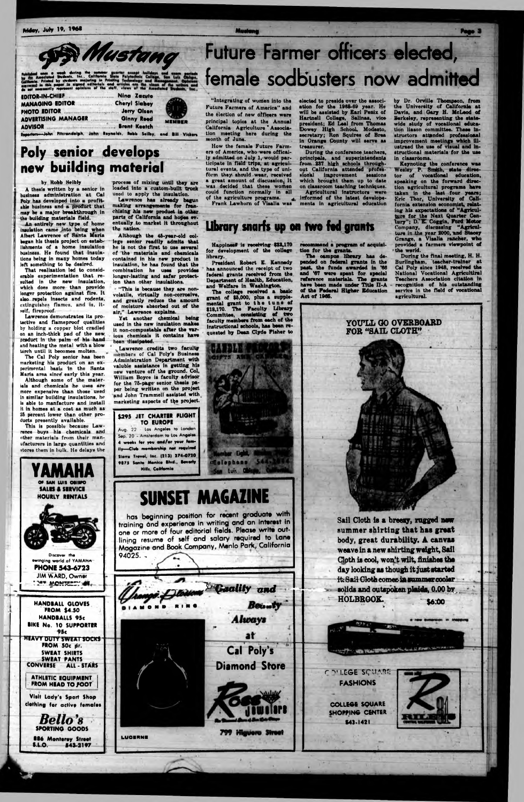**Priday, July 19, 1968** 



| DITOR-IN-LITIEF<br><b>ANAGING EDITOR</b>                                   | <b>RING LUCUIO</b><br><b>Cheryl Slabey</b> |        |
|----------------------------------------------------------------------------|--------------------------------------------|--------|
| <b>HOTO EDITOR</b>                                                         | <b>Jerry Olson</b>                         |        |
| <b>DVERTISING MANAGER</b>                                                  | <b>Ginny Rood</b>                          | MEMBER |
| DVISOR<br>Are take Horsendaluh John Boundale, Bakk Sailker, and Att by the | <b>Bront Keetch</b>                        |        |

### Poly senior develops new building material

#### by Robb Seibly

A thesis written by a senior in business administration at Cal Poly has developed into a profitable business and a product that may be a major breakthrough in the building materials field.

An entirely new type of home insulation came into being when Albert Lawrence of Santa Maria began his thesis project on establishments of a home insulation business. He found that insulations being in many homes today left something to be desired.

That realization led to considerable experimentation that resulted in the new insulation. which does more than provide longer protection against fire. It also repels insects and rodents, extinguishes flames, and is, itself, fireproof.

Lawrence demonstrates its protective and flameproof qualities by holding a copper blot cradled on an inch-thick pad of the new, product in the palm of his hand and heating the metal with a blow torch until it becomes molten.

The Cal Poly senior has been marketing his product on an experimental basis in the Santa Maria area since early this year.

Although some of the materials and chemicals he uses are more expensive than those used in similar building insulations, he is able to manfacture and install it in homes at a cost as much as 25 percent lower than other products presently available.

This is possible because Lawrence buys his chemicals and other materials from their manufacturers in large quantities and stores them in bulk. He delays the



process of mixing until they are loaded into a custom-built truck used to apply the insulation.

Lawrence has already bagun<br>making arrangements for franchising his new product in other parts of California and hopes eventually to market it throughout the nation.

Although the 45-year-old college senior readily admits that he is not the first to use several of the materials and chemicals contained in his new product in insulation, he has found that the combination he uses provides longer-lasting and safer protection than other insulations.

. "This is because they are nonvolatile, virtually non-corrosive, and graatly reduce the amount<br>of moisture absorbed out of the air," Lawrence explains.

Yet another chemical being used in the new insulation makes it non-compustable after the varjous chemicals it contains have been dissipated.

Lawrence credits two faculty members of Cal Poly's Business Administration Department with valuble assistance in getting his new venture off the ground. Col, William Boyce is faculty advisor for the 75-page senior thesis paper being written on the project and John Trammell assisted with marketing aspects of the project.

\$295 JET CHARTER FLIGHT TO EUROPE 22 - Los Angeles to London Aug.

Sep. 20 - Amsterdam to Los Angeles 4 weeks for you and/or your famlly-Club membership not required Sierra Travel, Inc. (213) 274-0720 9875 Santa Monica Blvd., Bovorty. Hills, California

## **SUNSET MAGAZINE**

Colophone St

**An Luis** Of

has beginning position for recent graduate with training and experience in writing and an interest in one or more of four editorial fields. Please write outlining resume of self and salary required to Lane Magazine and Book Company, Menlo Park, California  $94025. -$ 

# Future Farmer officers elected, female sodbusters now admitted

"Integrating of women into the Future Farmers of America" and the election of new officers were principal topics at the Annual California Agriculture Association meeting here during the month of June.

How the female Future Farmers of America, who were offically admitted on July 1, would participate in field trips, at agricultural events, and the type of uniform they should wear, received a great amount of discussion, It was decided that these women<br>could function normally in all of the agriculture programs.<br>Frank Lawhorn of Visalia was

elected to preside over the association for the 1968-69 year. He will be assisted by Earl Penix of Hartnell College, Salinas, vice president; Ed Leal from Thomas Dowey High School, Modasto, in Orange County will serve as treasurer.

treasurer.<br>
During the conference teachers,<br>
principals, and superintendents<br>
from 237 high schools through-<br>
out California attended profes-<br>
sional improvement sessions<br>
which brought them up to date on classroom teaching techniques. Agricultural instructors were

informed of the latest developements in agricultural education

recommend a program of acquisi-

The campus library has de-

past, the funds awarded in '66

and '67 were spent for special reference materials. The grants

have been made under Title II-A of the Federal Higher Education

tion for the grants.

Act of 1965.

by Dr. Orville Thompson, from<br>the University of California at Davis, and Gary H. McLeod of Berkeley, representing the state-<br>wide study of vocational education liason committee. These instructors attended professional improvement meetings which ill-<br>ustraed the use of visual and inatructional materials for the use in classrooms.

In classrooms.<br>
Keynoting the conference was<br>
Wesley P. Smith, state director<br>
tor of vocational education, speaking on the forward direction agricultural programs have taken in the last four years; Eric Thor, University of California extension economist, relating his expectations of "Agriculture for the Next Quarter Century"; D. E. Coggin, Ford Motor Company, discussing "Agriculture in the year 2000, and Stacey<br>Grange, a Visalia rancher, who<br>provided a farmers viewpoint of the world.

During the final meeting, H. H. Burlingham, teacher-trainer at<br>Cal Poly since 1948, received the<br>National Vocational Agricultiral<br>Teachers Association citation in recognition of his outstanding agricultural.

### Library snarfs up on two fed grants

Happiness is receiving \$22,170 for development of the college library.

President Robert E. Kennedy has announced the receipt of two federal grants received from the Department of Health, Education, and Welfare in Washington.

and weither in washing on.<br>The college received a basic<br>grant of \$5,000, plus a supplemental grant to the tune of<br>\$18,170. The Faculty Library<br>Committee, consisting of two<br>faculty members from each of the instructional schools, has been requested by Dean Clyde Fisher to



Sail Cloth is a breezy, rugged new summer shirting that has great body, great durability. A canvas weave in a new shirting weight, Sail Cloth is cool, won't wilt, finishes the